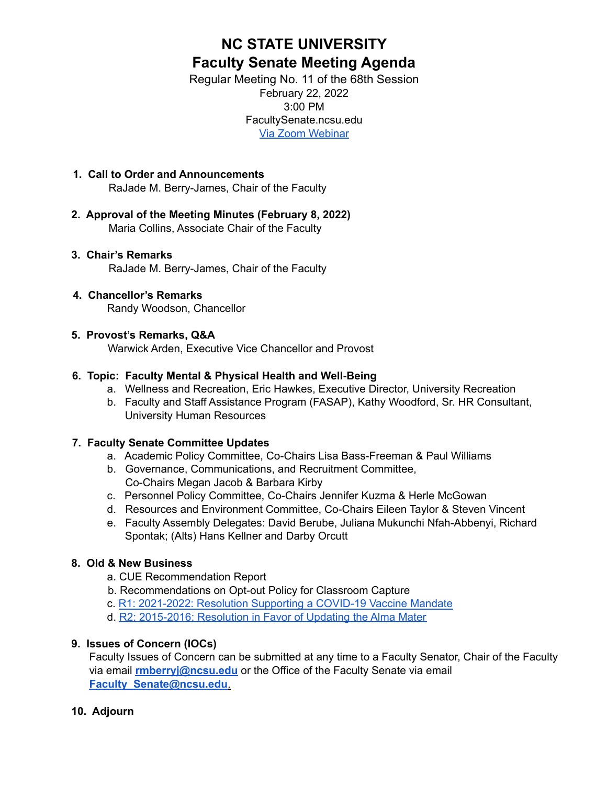# **NC STATE UNIVERSITY Faculty Senate Meeting Agenda**

Regular Meeting No. 11 of the 68th Session February 22, 2022 3:00 PM FacultySenate.ncsu.edu Via Zoom [Webinar](https://ncsu.zoom.us/webinar/register/WN_0s1CeoyAQhmkZwOdr7j-ZQ)

- **1. Call to Order and Announcements** RaJade M. Berry-James, Chair of the Faculty
- **2. Approval of the Meeting Minutes (February 8, 2022)** Maria Collins, Associate Chair of the Faculty
- **3. Chair's Remarks** RaJade M. Berry-James, Chair of the Faculty

### **4. Chancellor's Remarks**

Randy Woodson, Chancellor

### **5. Provost's Remarks, Q&A**

Warwick Arden, Executive Vice Chancellor and Provost

# **6. Topic: Faculty Mental & Physical Health and Well-Being**

- a. Wellness and Recreation, Eric Hawkes, Executive Director, University Recreation
- b. Faculty and Staff Assistance Program (FASAP), Kathy Woodford, Sr. HR Consultant, University Human Resources

### **7. Faculty Senate Committee Updates**

- a. Academic Policy Committee, Co-Chairs Lisa Bass-Freeman & Paul Williams
- b. Governance, Communications, and Recruitment Committee, Co-Chairs Megan Jacob & Barbara Kirby
- c. Personnel Policy Committee, Co-Chairs Jennifer Kuzma & Herle McGowan
- d. Resources and Environment Committee, Co-Chairs Eileen Taylor & Steven Vincent
- e. Faculty Assembly Delegates: David Berube, Juliana Mukunchi Nfah-Abbenyi, Richard Spontak; (Alts) Hans Kellner and Darby Orcutt

# **8. Old & New Business**

- a. CUE Recommendation Report
- b. Recommendations on Opt-out Policy for Classroom Capture
- c. R1: 2021-2022: Resolution Supporting a COVID-19 Vaccine Mandate
- d. R2: 2015-2016: Resolution in Favor of Updating the Alma Mater

# **9. Issues of Concern (IOCs)**

Faculty Issues of Concern can be submitted at any time to a Faculty Senator, Chair of the Faculty via email **rmberryj@ncsu.edu** or the Office of the Faculty Senate via email **Faculty\_Senate@ncsu.edu**.

# **10. Adjourn**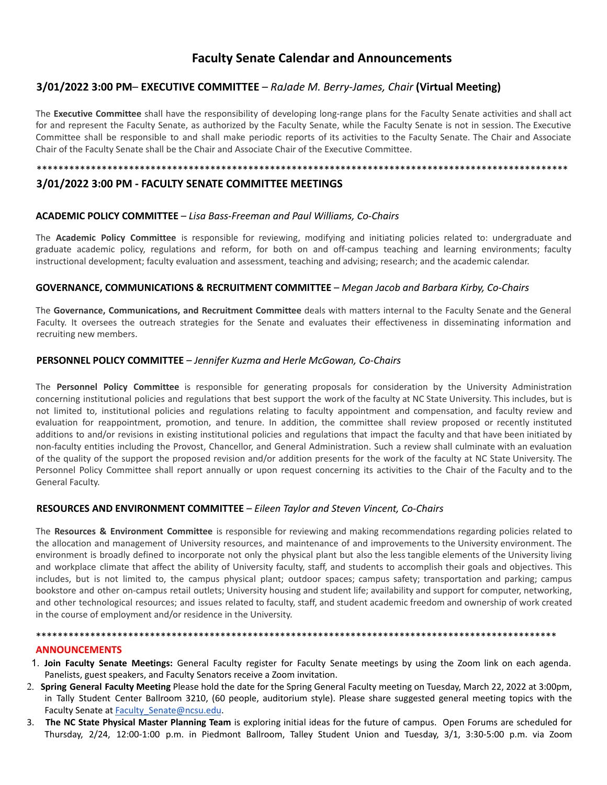# **Faculty Senate Calendar and Announcements**

### **3/01/2022 3:00 PM**– **EXECUTIVE COMMITTEE** *– RaJade M. Berry-James, Chair* **(Virtual Meeting)**

The **Executive Committee** shall have the responsibility of developing long-range plans for the Faculty Senate activities and shall act for and represent the Faculty Senate, as authorized by the Faculty Senate, while the Faculty Senate is not in session. The Executive Committee shall be responsible to and shall make periodic reports of its activities to the Faculty Senate. The Chair and Associate Chair of the Faculty Senate shall be the Chair and Associate Chair of the Executive Committee.

\*\*\*\*\*\*\*\*\*\*\*\*\*\*\*\*\*\*\*\*\*\*\*\*\*\*\*\*\*\*\*\*\*\*\*\*\*\*\*\*\*\*\*\*\*\*\*\*\*\*\*\*\*\*\*\*\*\*\*\*\*\*\*\*\*\*\*\*\*\*\*\*\*\*\*\*\*\*\*\*\*\*\*\*\*\*\*\*\*\*\*\*\*\*\*\*\*\*

### **3/01/2022 3:00 PM - FACULTY SENATE COMMITTEE MEETINGS**

#### **ACADEMIC POLICY COMMITTEE** – *Lisa Bass-Freeman and Paul Williams, Co-Chairs*

The **Academic Policy Committee** is responsible for reviewing, modifying and initiating policies related to: undergraduate and graduate academic policy, regulations and reform, for both on and off-campus teaching and learning environments; faculty instructional development; faculty evaluation and assessment, teaching and advising; research; and the academic calendar.

#### **GOVERNANCE, COMMUNICATIONS & RECRUITMENT COMMITTEE** – *Megan Jacob and Barbara Kirby, Co-Chairs*

The **Governance, Communications, and Recruitment Committee** deals with matters internal to the Faculty Senate and the General Faculty. It oversees the outreach strategies for the Senate and evaluates their effectiveness in disseminating information and recruiting new members.

#### **PERSONNEL POLICY COMMITTEE** – *Jennifer Kuzma and Herle McGowan, Co-Chairs*

The **Personnel Policy Committee** is responsible for generating proposals for consideration by the University Administration concerning institutional policies and regulations that best support the work of the faculty at NC State University. This includes, but is not limited to, institutional policies and regulations relating to faculty appointment and compensation, and faculty review and evaluation for reappointment, promotion, and tenure. In addition, the committee shall review proposed or recently instituted additions to and/or revisions in existing institutional policies and regulations that impact the faculty and that have been initiated by non-faculty entities including the Provost, Chancellor, and General Administration. Such a review shall culminate with an evaluation of the quality of the support the proposed revision and/or addition presents for the work of the faculty at NC State University. The Personnel Policy Committee shall report annually or upon request concerning its activities to the Chair of the Faculty and to the General Faculty.

#### **RESOURCES AND ENVIRONMENT COMMITTEE** – *Eileen Taylor and Steven Vincent, Co-Chairs*

The **Resources & Environment Committee** is responsible for reviewing and making recommendations regarding policies related to the allocation and management of University resources, and maintenance of and improvements to the University environment. The environment is broadly defined to incorporate not only the physical plant but also the less tangible elements of the University living and workplace climate that affect the ability of University faculty, staff, and students to accomplish their goals and objectives. This includes, but is not limited to, the campus physical plant; outdoor spaces; campus safety; transportation and parking; campus bookstore and other on-campus retail outlets; University housing and student life; availability and support for computer, networking, and other technological resources; and issues related to faculty, staff, and student academic freedom and ownership of work created in the course of employment and/or residence in the University.

#### \*\*\*\*\*\*\*\*\*\*\*\*\*\*\*\*\*\*\*\*\*\*\*\*\*\*\*\*\*\*\*\*\*\*\*\*\*\*\*\*\*\*\*\*\*\*\*\*\*\*\*\*\*\*\*\*\*\*\*\*\*\*\*\*\*\*\*\*\*\*\*\*\*\*\*\*\*\*\*\*\*\*\*\*\*\*\*\*\*\*\*\*\*\*\*\* **ANNOUNCEMENTS**

- 1. **Join Faculty Senate Meetings:** General Faculty register for Faculty Senate meetings by using the Zoom link on each agenda. Panelists, guest speakers, and Faculty Senators receive a Zoom invitation.
- 2. **Spring General Faculty Meeting** Please hold the date for the Spring General Faculty meeting on Tuesday, March 22, 2022 at 3:00pm, in Tally Student Center Ballroom 3210, (60 people, auditorium style). Please share suggested general meeting topics with the Faculty Senate at Faculty Senate@ncsu.edu.
- 3. **The NC State Physical Master Planning Team** is exploring initial ideas for the future of campus. Open Forums are scheduled for Thursday, 2/24, 12:00-1:00 p.m. in Piedmont Ballroom, Talley Student Union and Tuesday, 3/1, 3:30-5:00 p.m. via Zoom